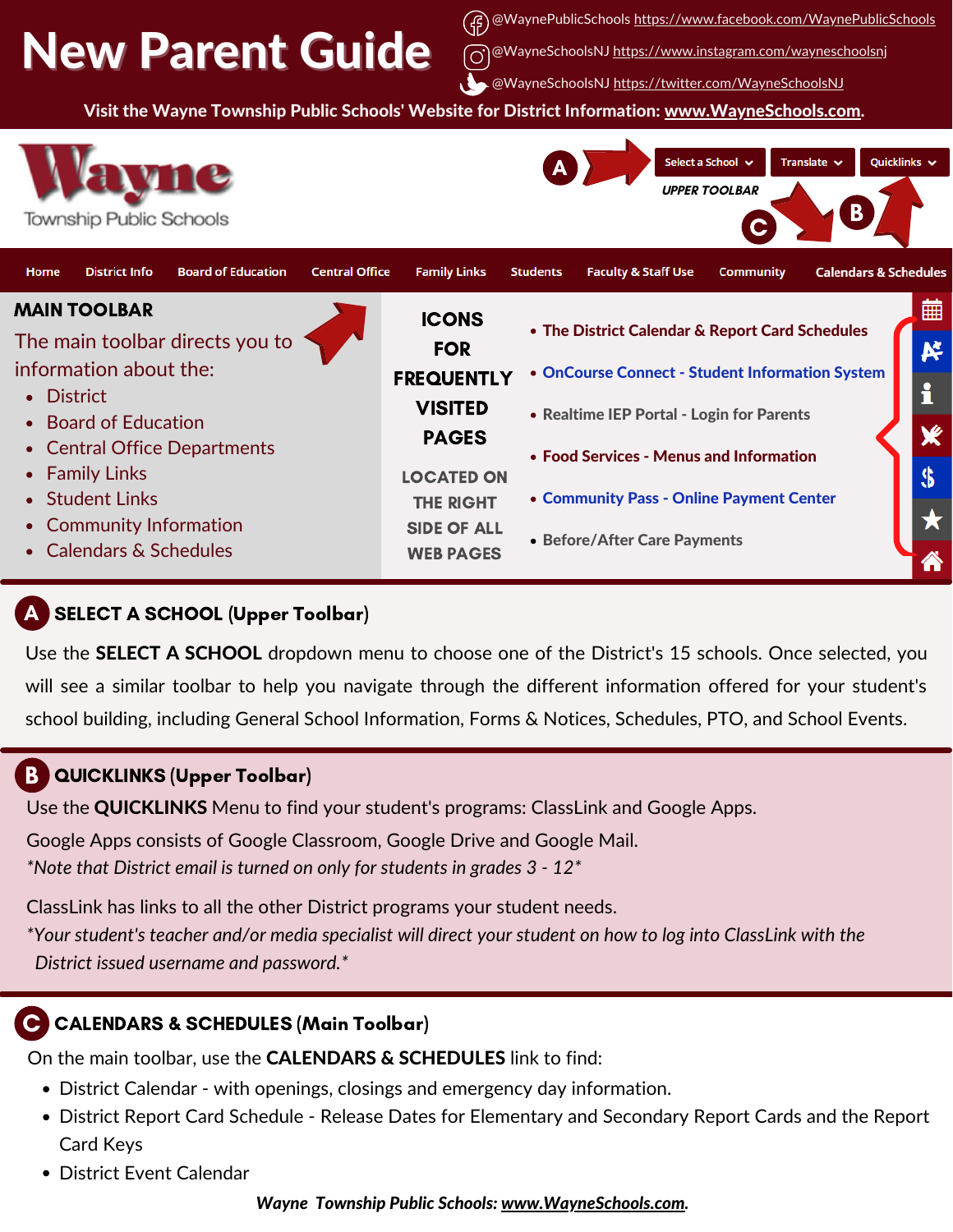# New Parent Guide

(仔) @WaynePublicSchools <https://www.facebook.com/WaynePublicSchools>

MayneSchoolsNJ [https://www.instagram.com/wayneschoolsnj](https://www.instagram.com/wayneschoolsnj/)

@WayneSchoolsNJ https://twitter.com/WayneSchoolsNJ

Visit the Wayne Township Public Schools' Website for District Information: [www.WayneSchools.com](http://www.wayneschools.com/).



## SELECT A SCHOOL (Upper Toolbar) A

Use the **SELECT A SCHOOL** dropdown menu to choose one of the District's 15 schools. Once selected, you will see a similar toolbar to help you navigate through the different information offered for your student's school building, including General School Information, Forms & Notices, Schedules, PTO, and School Events.

#### QUICKLINKS (Upper Toolbar) B

Use the **QUICKLINKS** Menu to find your student's programs: ClassLink and Google Apps.

Google Apps consists of Google Classroom, Google Drive and Google Mail. *\*Note that District email is turned on only for students in grades 3 - 12\**

ClassLink has links to all the other District programs your student needs.

\*Your student's teacher and/or media specialist will direct your student on how to log into ClassLink with the *District issued username and password.\**

#### [CALENDARS](https://www.wayneschools.com/Page/6635) & SCHEDULES (Main Toolbar) C

On the main toolbar, use the CALENDARS & SCHEDULES link to find:

- District Calendar with openings, closings and emergency day information.
- District Report Card Schedule Release Dates for Elementary and Secondary Report Cards and the Report Card Keys
- District Event Calendar

*Wayne Township Public Schools: [www.WayneSchools.com](http://www.wayneschools.com/).*